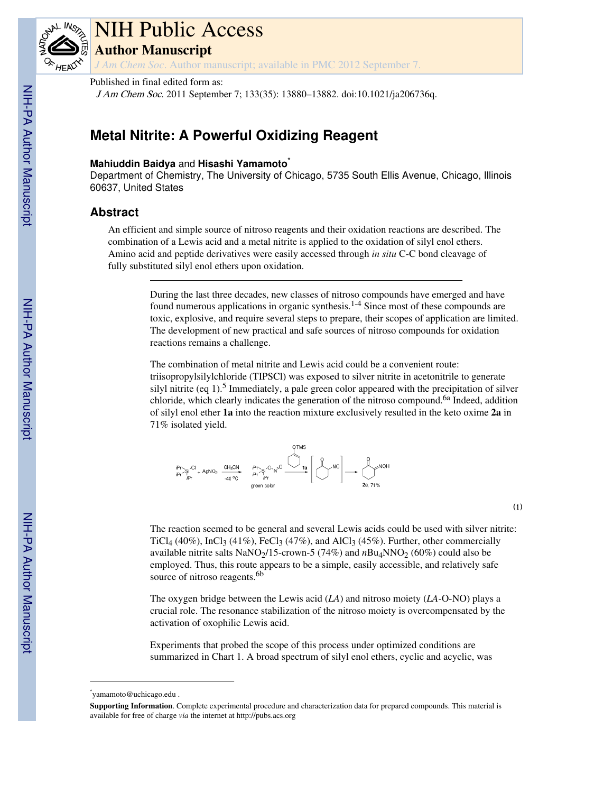

# NIH Public Access

**Author Manuscript**

*J Am Chem Soc*. Author manuscript; available in PMC 2012 September 7.

## Published in final edited form as:

J Am Chem Soc. 2011 September 7; 133(35): 13880–13882. doi:10.1021/ja206736q.

# **Metal Nitrite: A Powerful Oxidizing Reagent**

#### **Mahiuddin Baidya** and **Hisashi Yamamoto**\*

Department of Chemistry, The University of Chicago, 5735 South Ellis Avenue, Chicago, Illinois 60637, United States

# **Abstract**

An efficient and simple source of nitroso reagents and their oxidation reactions are described. The combination of a Lewis acid and a metal nitrite is applied to the oxidation of silyl enol ethers. Amino acid and peptide derivatives were easily accessed through *in situ* C-C bond cleavage of fully substituted silyl enol ethers upon oxidation.

> During the last three decades, new classes of nitroso compounds have emerged and have found numerous applications in organic synthesis.1-4 Since most of these compounds are toxic, explosive, and require several steps to prepare, their scopes of application are limited. The development of new practical and safe sources of nitroso compounds for oxidation reactions remains a challenge.

> The combination of metal nitrite and Lewis acid could be a convenient route: triisopropylsilylchloride (TIPSCl) was exposed to silver nitrite in acetonitrile to generate silyl nitrite (eq 1).<sup>5</sup> Immediately, a pale green color appeared with the precipitation of silver chloride, which clearly indicates the generation of the nitroso compound.<sup>6a</sup> Indeed, addition of silyl enol ether **1a** into the reaction mixture exclusively resulted in the keto oxime **2a** in 71% isolated yield.



(1)

The reaction seemed to be general and several Lewis acids could be used with silver nitrite: TiCl<sub>4</sub> (40%), InCl<sub>3</sub> (41%), FeCl<sub>3</sub> (47%), and AlCl<sub>3</sub> (45%). Further, other commercially available nitrite salts NaNO<sub>2</sub>/15-crown-5 (74%) and  $nBu_4NNO_2$  (60%) could also be employed. Thus, this route appears to be a simple, easily accessible, and relatively safe source of nitroso reagents.<sup>6b</sup>

The oxygen bridge between the Lewis acid (*LA*) and nitroso moiety (*LA*-O-NO) plays a crucial role. The resonance stabilization of the nitroso moiety is overcompensated by the activation of oxophilic Lewis acid.

Experiments that probed the scope of this process under optimized conditions are summarized in Chart 1. A broad spectrum of silyl enol ethers, cyclic and acyclic, was

<sup>\*</sup> yamamoto@uchicago.edu .

**Supporting Information**. Complete experimental procedure and characterization data for prepared compounds. This material is available for free of charge *via* the internet at http://pubs.acs.org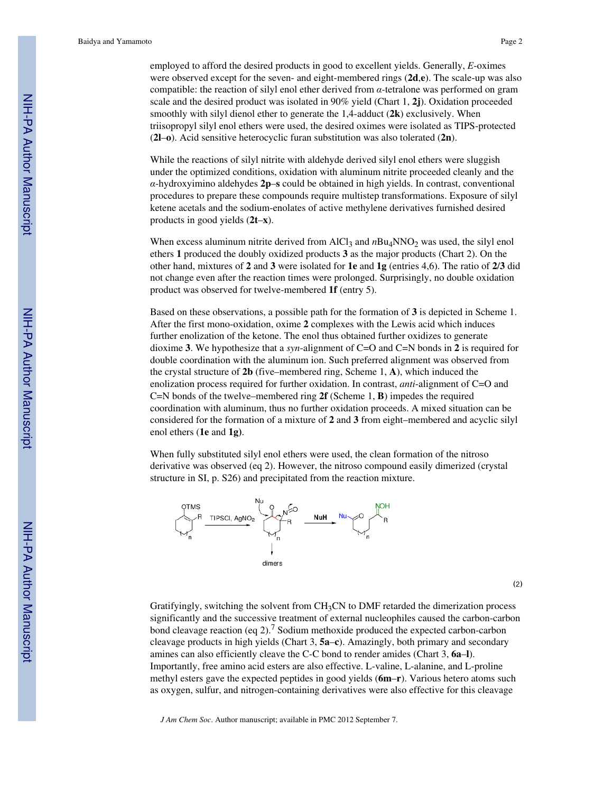employed to afford the desired products in good to excellent yields. Generally, *E*-oximes were observed except for the seven- and eight-membered rings (**2d**,**e**). The scale-up was also compatible: the reaction of silyl enol ether derived from *α*-tetralone was performed on gram scale and the desired product was isolated in 90% yield (Chart 1, **2j**). Oxidation proceeded smoothly with silyl dienol ether to generate the 1,4-adduct (**2k**) exclusively. When triisopropyl silyl enol ethers were used, the desired oximes were isolated as TIPS-protected (**2l**–**o**). Acid sensitive heterocyclic furan substitution was also tolerated (**2n**).

While the reactions of silyl nitrite with aldehyde derived silyl enol ethers were sluggish under the optimized conditions, oxidation with aluminum nitrite proceeded cleanly and the *α*-hydroxyimino aldehydes **2p**–**s** could be obtained in high yields. In contrast, conventional procedures to prepare these compounds require multistep transformations. Exposure of silyl ketene acetals and the sodium-enolates of active methylene derivatives furnished desired products in good yields (**2t**–**x**).

When excess aluminum nitrite derived from AlCl<sub>3</sub> and  $nBu_4NNO_2$  was used, the silyl enol ethers **1** produced the doubly oxidized products **3** as the major products (Chart 2). On the other hand, mixtures of **2** and **3** were isolated for **1e** and **1g** (entries 4,6). The ratio of **2**/**3** did not change even after the reaction times were prolonged. Surprisingly, no double oxidation product was observed for twelve-membered **1f** (entry 5).

Based on these observations, a possible path for the formation of **3** is depicted in Scheme 1. After the first mono-oxidation, oxime **2** complexes with the Lewis acid which induces further enolization of the ketone. The enol thus obtained further oxidizes to generate dioxime **3**. We hypothesize that a *syn*-alignment of C=O and C=N bonds in **2** is required for double coordination with the aluminum ion. Such preferred alignment was observed from the crystal structure of **2b** (five–membered ring, Scheme 1, **A**), which induced the enolization process required for further oxidation. In contrast, *anti*-alignment of C=O and C=N bonds of the twelve–membered ring **2f** (Scheme 1, **B**) impedes the required coordination with aluminum, thus no further oxidation proceeds. A mixed situation can be considered for the formation of a mixture of **2** and **3** from eight–membered and acyclic silyl enol ethers (**1e** and **1g)**.

When fully substituted silyl enol ethers were used, the clean formation of the nitroso derivative was observed (eq 2). However, the nitroso compound easily dimerized (crystal structure in SI, p. S26) and precipitated from the reaction mixture.



(2)

Gratifyingly, switching the solvent from  $CH<sub>3</sub>CN$  to DMF retarded the dimerization process significantly and the successive treatment of external nucleophiles caused the carbon-carbon bond cleavage reaction (eq 2).<sup>7</sup> Sodium methoxide produced the expected carbon-carbon cleavage products in high yields (Chart 3, **5a**–**c**). Amazingly, both primary and secondary amines can also efficiently cleave the C-C bond to render amides (Chart 3, **6a**–**l**). Importantly, free amino acid esters are also effective. L-valine, L-alanine, and L-proline methyl esters gave the expected peptides in good yields (**6m**–**r**). Various hetero atoms such as oxygen, sulfur, and nitrogen-containing derivatives were also effective for this cleavage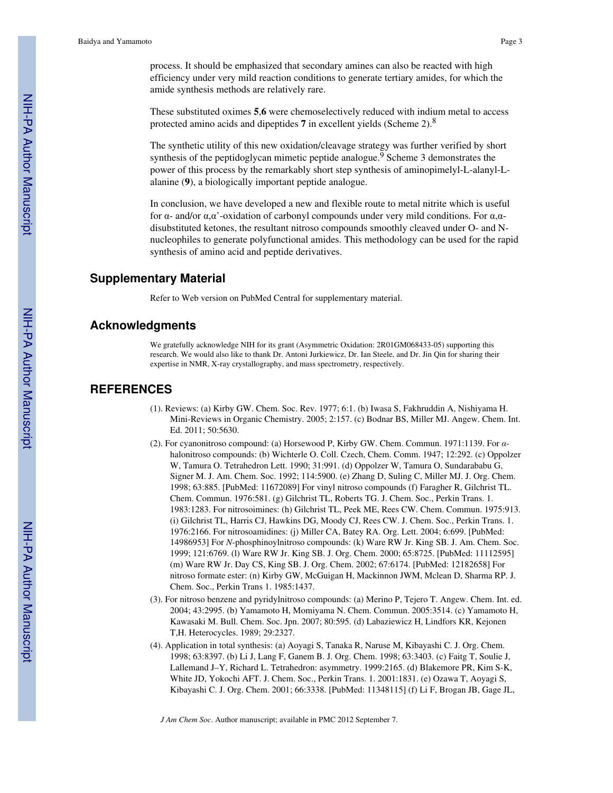process. It should be emphasized that secondary amines can also be reacted with high efficiency under very mild reaction conditions to generate tertiary amides, for which the amide synthesis methods are relatively rare.

These substituted oximes **5**,**6** were chemoselectively reduced with indium metal to access protected amino acids and dipeptides **7** in excellent yields (Scheme 2).<sup>8</sup>

The synthetic utility of this new oxidation/cleavage strategy was further verified by short synthesis of the peptidoglycan mimetic peptide analogue.<sup>9</sup> Scheme 3 demonstrates the power of this process by the remarkably short step synthesis of aminopimelyl-L-alanyl-Lalanine (**9**), a biologically important peptide analogue.

In conclusion, we have developed a new and flexible route to metal nitrite which is useful for α- and/or α,α'-oxidation of carbonyl compounds under very mild conditions. For α,αdisubstituted ketones, the resultant nitroso compounds smoothly cleaved under O- and Nnucleophiles to generate polyfunctional amides. This methodology can be used for the rapid synthesis of amino acid and peptide derivatives.

## **Supplementary Material**

Refer to Web version on PubMed Central for supplementary material.

# **Acknowledgments**

We gratefully acknowledge NIH for its grant (Asymmetric Oxidation: 2R01GM068433-05) supporting this research. We would also like to thank Dr. Antoni Jurkiewicz, Dr. Ian Steele, and Dr. Jin Qin for sharing their expertise in NMR, X-ray crystallography, and mass spectrometry, respectively.

## **REFERENCES**

- (1). Reviews: (a) Kirby GW. Chem. Soc. Rev. 1977; 6:1. (b) Iwasa S, Fakhruddin A, Nishiyama H. Mini-Reviews in Organic Chemistry. 2005; 2:157. (c) Bodnar BS, Miller MJ. Angew. Chem. Int. Ed. 2011; 50:5630.
- (2). For cyanonitroso compound: (a) Horsewood P, Kirby GW. Chem. Commun. 1971:1139. For *α*halonitroso compounds: (b) Wichterle O. Coll. Czech, Chem. Comm. 1947; 12:292. (c) Oppolzer W, Tamura O. Tetrahedron Lett. 1990; 31:991. (d) Oppolzer W, Tamura O, Sundarababu G, Signer M. J. Am. Chem. Soc. 1992; 114:5900. (e) Zhang D, Suling C, Miller MJ. J. Org. Chem. 1998; 63:885. [PubMed: 11672089] For vinyl nitroso compounds (f) Faragher R, Gilchrist TL. Chem. Commun. 1976:581. (g) Gilchrist TL, Roberts TG. J. Chem. Soc., Perkin Trans. 1. 1983:1283. For nitrosoimines: (h) Gilchrist TL, Peek ME, Rees CW. Chem. Commun. 1975:913. (i) Gilchrist TL, Harris CJ, Hawkins DG, Moody CJ, Rees CW. J. Chem. Soc., Perkin Trans. 1. 1976:2166. For nitrosoamidines: (j) Miller CA, Batey RA. Org. Lett. 2004; 6:699. [PubMed: 14986953] For *N*-phosphinoylnitroso compounds: (k) Ware RW Jr. King SB. J. Am. Chem. Soc. 1999; 121:6769. (l) Ware RW Jr. King SB. J. Org. Chem. 2000; 65:8725. [PubMed: 11112595] (m) Ware RW Jr. Day CS, King SB. J. Org. Chem. 2002; 67:6174. [PubMed: 12182658] For nitroso formate ester: (n) Kirby GW, McGuigan H, Mackinnon JWM, Mclean D, Sharma RP. J. Chem. Soc., Perkin Trans 1. 1985:1437.
- (3). For nitroso benzene and pyridylnitroso compounds: (a) Merino P, Tejero T. Angew. Chem. Int. ed. 2004; 43:2995. (b) Yamamoto H, Momiyama N. Chem. Commun. 2005:3514. (c) Yamamoto H, Kawasaki M. Bull. Chem. Soc. Jpn. 2007; 80:595. (d) Labaziewicz H, Lindfors KR, Kejonen T,H. Heterocycles. 1989; 29:2327.
- (4). Application in total synthesis: (a) Aoyagi S, Tanaka R, Naruse M, Kibayashi C. J. Org. Chem. 1998; 63:8397. (b) Li J, Lang F, Ganem B. J. Org. Chem. 1998; 63:3403. (c) Faitg T, Soulie J, Lallemand J–Y, Richard L. Tetrahedron: asymmetry. 1999:2165. (d) Blakemore PR, Kim S-K, White JD, Yokochi AFT. J. Chem. Soc., Perkin Trans. 1. 2001:1831. (e) Ozawa T, Aoyagi S, Kibayashi C. J. Org. Chem. 2001; 66:3338. [PubMed: 11348115] (f) Li F, Brogan JB, Gage JL,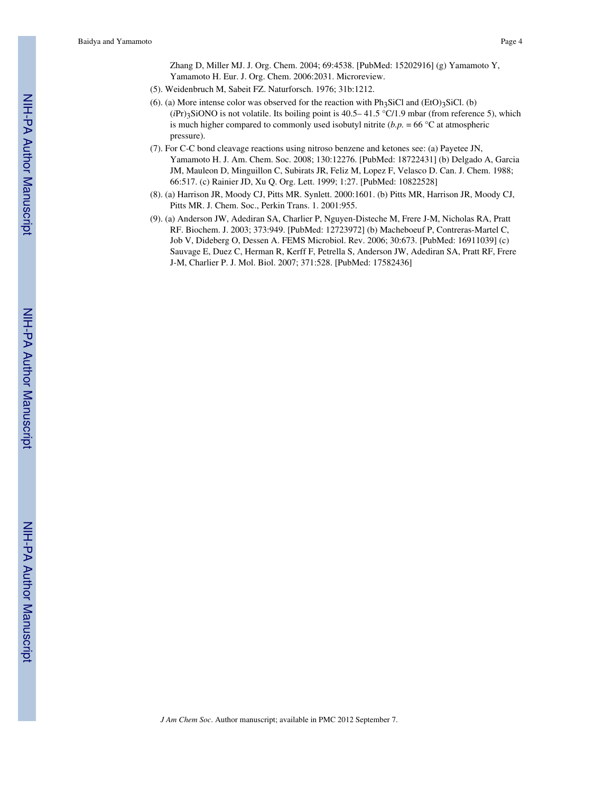Zhang D, Miller MJ. J. Org. Chem. 2004; 69:4538. [PubMed: 15202916] (g) Yamamoto Y, Yamamoto H. Eur. J. Org. Chem. 2006:2031. Microreview.

- (5). Weidenbruch M, Sabeit FZ. Naturforsch. 1976; 31b:1212.
- (6). (a) More intense color was observed for the reaction with Ph<sub>3</sub>SiCl and (EtO)<sub>3</sub>SiCl. (b) (*i*Pr)3SiONO is not volatile. Its boiling point is 40.5– 41.5 °C/1.9 mbar (from reference 5), which is much higher compared to commonly used isobutyl nitrite  $(b.p. = 66 °C)$  at atmospheric pressure).
- (7). For C-C bond cleavage reactions using nitroso benzene and ketones see: (a) Payetee JN, Yamamoto H. J. Am. Chem. Soc. 2008; 130:12276. [PubMed: 18722431] (b) Delgado A, Garcia JM, Mauleon D, Minguillon C, Subirats JR, Feliz M, Lopez F, Velasco D. Can. J. Chem. 1988; 66:517. (c) Rainier JD, Xu Q. Org. Lett. 1999; 1:27. [PubMed: 10822528]
- (8). (a) Harrison JR, Moody CJ, Pitts MR. Synlett. 2000:1601. (b) Pitts MR, Harrison JR, Moody CJ, Pitts MR. J. Chem. Soc., Perkin Trans. 1. 2001:955.
- (9). (a) Anderson JW, Adediran SA, Charlier P, Nguyen-Disteche M, Frere J-M, Nicholas RA, Pratt RF. Biochem. J. 2003; 373:949. [PubMed: 12723972] (b) Macheboeuf P, Contreras-Martel C, Job V, Dideberg O, Dessen A. FEMS Microbiol. Rev. 2006; 30:673. [PubMed: 16911039] (c) Sauvage E, Duez C, Herman R, Kerff F, Petrella S, Anderson JW, Adediran SA, Pratt RF, Frere J-M, Charlier P. J. Mol. Biol. 2007; 371:528. [PubMed: 17582436]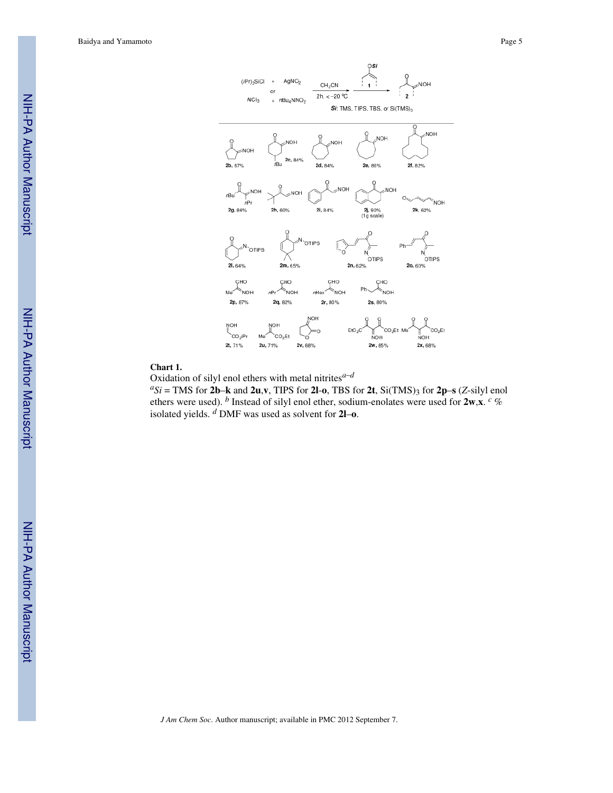

#### **Chart 1.**

Oxidation of silyl enol ethers with metal nitrites*a*–*<sup>d</sup>*

 ${}^aSi$  = TMS for 2b–**k** and 2u,**v**, TIPS for 2l-**o**, TBS for 2t, Si(TMS)<sub>3</sub> for 2p–s (*Z*-silyl enol ethers were used). <sup>*b*</sup> Instead of silyl enol ether, sodium-enolates were used for 2w,x. <sup>*c*</sup> % isolated yields. *<sup>d</sup>* DMF was used as solvent for **2l**–**o**.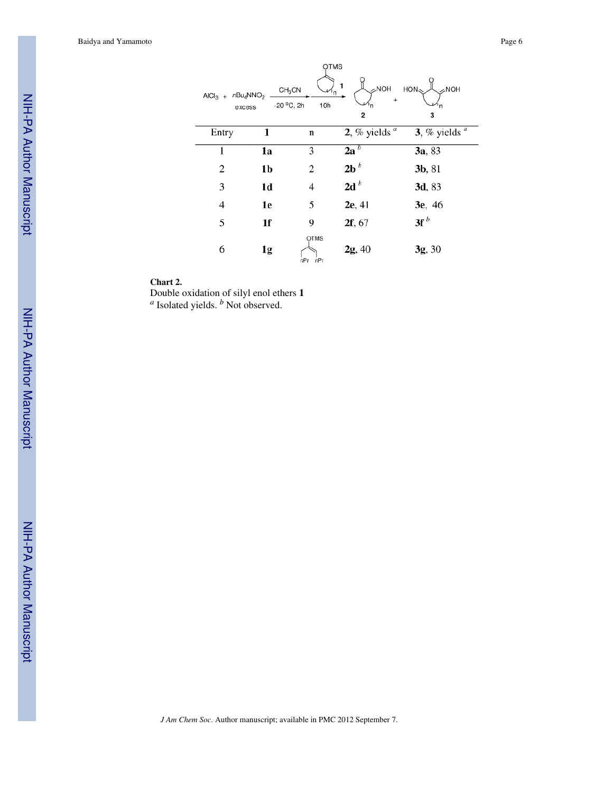| OTMS                                                                                                                                   |    |                    |                 |                 |
|----------------------------------------------------------------------------------------------------------------------------------------|----|--------------------|-----------------|-----------------|
| 1<br>∠NOH<br>$HON_{\leq}$<br>SNOH<br>CH <sub>3</sub> CN<br>$AICI_3 + nBu_4NNO_2$<br>$\ddot{}$<br>-20 °C, 2h<br>10h<br>excess<br>2<br>3 |    |                    |                 |                 |
| Entry                                                                                                                                  | 1  | n                  | 2, % yields $a$ | 3, % yields $a$ |
| 1                                                                                                                                      | 1a | 3                  | $2a^b$          | 3a, 83          |
| $\mathfrak{2}$                                                                                                                         | 1b | 2                  | 2b <sup>b</sup> | 3b, 81          |
| 3                                                                                                                                      | 1d | 4                  | 2d <sup>b</sup> | 3d, 83          |
| 4                                                                                                                                      | 1e | 5                  | 2e, 41          | 3e, 46          |
| 5                                                                                                                                      | 1f | 9                  | 2f, 67          | 3f <sup>b</sup> |
| 6                                                                                                                                      | 1g | OTMS<br>nPr<br>nPr | 2g, 40          | 3g, 30          |

#### **Chart 2.**

Double oxidation of silyl enol ethers **1** *a* Isolated yields. *b* Not observed.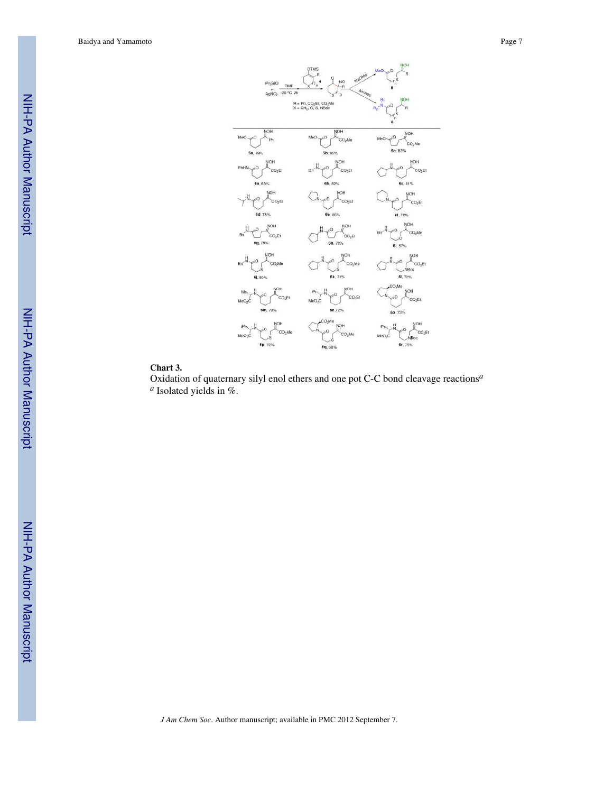

#### **Chart 3.**

Oxidation of quaternary silyl enol ethers and one pot C-C bond cleavage reactions*<sup>a</sup> a* Isolated yields in %.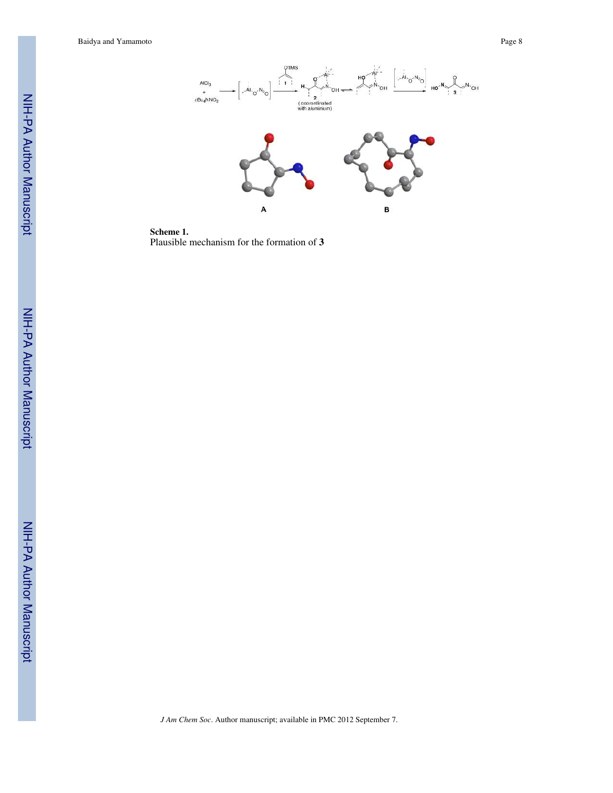

**Scheme 1.** Plausible mechanism for the formation of **3**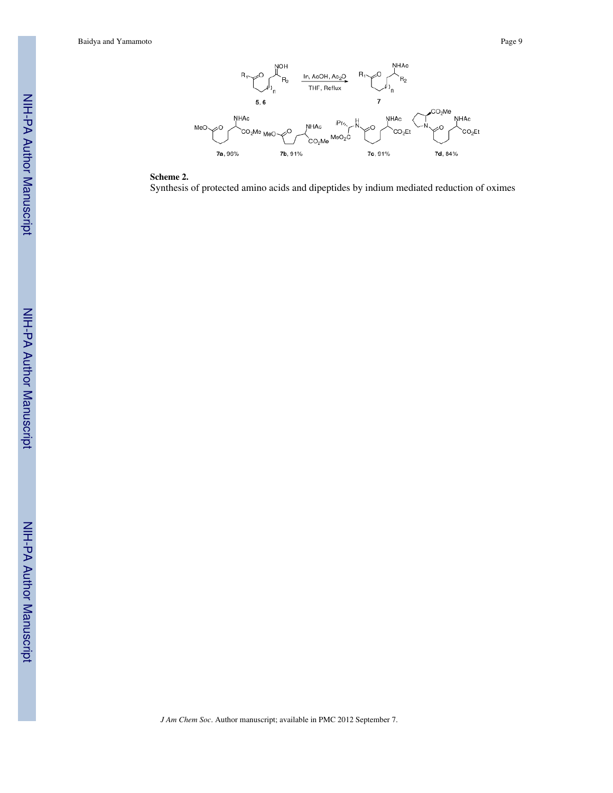

**Scheme 2.** Synthesis of protected amino acids and dipeptides by indium mediated reduction of oximes